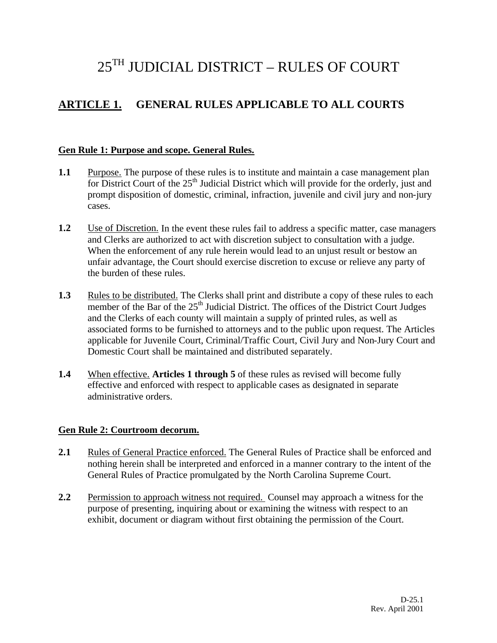# 25TH JUDICIAL DISTRICT – RULES OF COURT

# **ARTICLE 1. GENERAL RULES APPLICABLE TO ALL COURTS**

#### **Gen Rule 1: Purpose and scope. General Rules.**

- **1.1** Purpose. The purpose of these rules is to institute and maintain a case management plan for District Court of the  $25<sup>th</sup>$  Judicial District which will provide for the orderly, just and prompt disposition of domestic, criminal, infraction, juvenile and civil jury and non-jury cases.
- **1.2** Use of Discretion. In the event these rules fail to address a specific matter, case managers and Clerks are authorized to act with discretion subject to consultation with a judge. When the enforcement of any rule herein would lead to an unjust result or bestow an unfair advantage, the Court should exercise discretion to excuse or relieve any party of the burden of these rules.
- **1.3** Rules to be distributed. The Clerks shall print and distribute a copy of these rules to each member of the Bar of the  $25<sup>th</sup>$  Judicial District. The offices of the District Court Judges and the Clerks of each county will maintain a supply of printed rules, as well as associated forms to be furnished to attorneys and to the public upon request. The Articles applicable for Juvenile Court, Criminal/Traffic Court, Civil Jury and Non-Jury Court and Domestic Court shall be maintained and distributed separately.
- **1.4** When effective. **Articles 1 through 5** of these rules as revised will become fully effective and enforced with respect to applicable cases as designated in separate administrative orders.

#### **Gen Rule 2: Courtroom decorum.**

- **2.1** Rules of General Practice enforced. The General Rules of Practice shall be enforced and nothing herein shall be interpreted and enforced in a manner contrary to the intent of the General Rules of Practice promulgated by the North Carolina Supreme Court.
- **2.2** Permission to approach witness not required. Counsel may approach a witness for the purpose of presenting, inquiring about or examining the witness with respect to an exhibit, document or diagram without first obtaining the permission of the Court.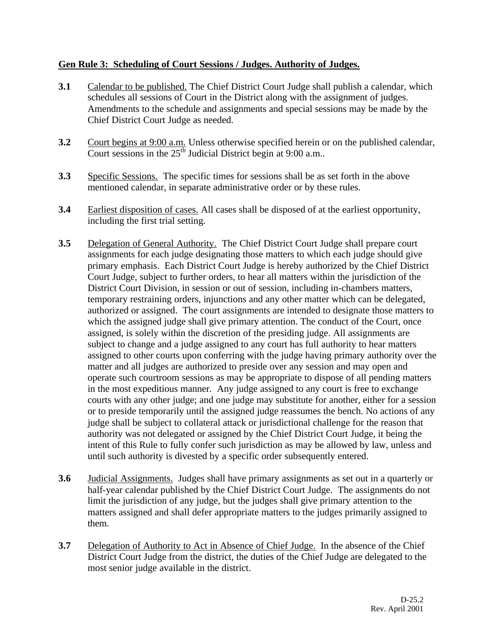### **Gen Rule 3: Scheduling of Court Sessions / Judges. Authority of Judges.**

- **3.1** Calendar to be published. The Chief District Court Judge shall publish a calendar, which schedules all sessions of Court in the District along with the assignment of judges. Amendments to the schedule and assignments and special sessions may be made by the Chief District Court Judge as needed.
- **3.2** Court begins at 9:00 a.m. Unless otherwise specified herein or on the published calendar, Court sessions in the  $25<sup>th</sup>$  Judicial District begin at 9:00 a.m..
- **3.3** Specific Sessions. The specific times for sessions shall be as set forth in the above mentioned calendar, in separate administrative order or by these rules.
- **3.4** Earliest disposition of cases. All cases shall be disposed of at the earliest opportunity, including the first trial setting.
- **3.5** Delegation of General Authority. The Chief District Court Judge shall prepare court assignments for each judge designating those matters to which each judge should give primary emphasis. Each District Court Judge is hereby authorized by the Chief District Court Judge, subject to further orders, to hear all matters within the jurisdiction of the District Court Division, in session or out of session, including in-chambers matters, temporary restraining orders, injunctions and any other matter which can be delegated, authorized or assigned. The court assignments are intended to designate those matters to which the assigned judge shall give primary attention. The conduct of the Court, once assigned, is solely within the discretion of the presiding judge. All assignments are subject to change and a judge assigned to any court has full authority to hear matters assigned to other courts upon conferring with the judge having primary authority over the matter and all judges are authorized to preside over any session and may open and operate such courtroom sessions as may be appropriate to dispose of all pending matters in the most expeditious manner. Any judge assigned to any court is free to exchange courts with any other judge; and one judge may substitute for another, either for a session or to preside temporarily until the assigned judge reassumes the bench. No actions of any judge shall be subject to collateral attack or jurisdictional challenge for the reason that authority was not delegated or assigned by the Chief District Court Judge, it being the intent of this Rule to fully confer such jurisdiction as may be allowed by law, unless and until such authority is divested by a specific order subsequently entered.
- **3.6** Judicial Assignments. Judges shall have primary assignments as set out in a quarterly or half-year calendar published by the Chief District Court Judge. The assignments do not limit the jurisdiction of any judge, but the judges shall give primary attention to the matters assigned and shall defer appropriate matters to the judges primarily assigned to them.
- **3.7** Delegation of Authority to Act in Absence of Chief Judge. In the absence of the Chief District Court Judge from the district, the duties of the Chief Judge are delegated to the most senior judge available in the district.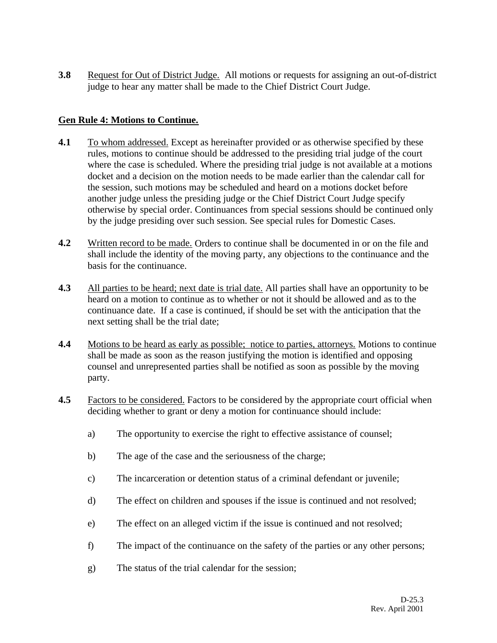**3.8** Request for Out of District Judge. All motions or requests for assigning an out-of-district judge to hear any matter shall be made to the Chief District Court Judge.

### **Gen Rule 4: Motions to Continue.**

- **4.1** To whom addressed. Except as hereinafter provided or as otherwise specified by these rules, motions to continue should be addressed to the presiding trial judge of the court where the case is scheduled. Where the presiding trial judge is not available at a motions docket and a decision on the motion needs to be made earlier than the calendar call for the session, such motions may be scheduled and heard on a motions docket before another judge unless the presiding judge or the Chief District Court Judge specify otherwise by special order. Continuances from special sessions should be continued only by the judge presiding over such session. See special rules for Domestic Cases.
- **4.2** Written record to be made. Orders to continue shall be documented in or on the file and shall include the identity of the moving party, any objections to the continuance and the basis for the continuance.
- **4.3** All parties to be heard; next date is trial date. All parties shall have an opportunity to be heard on a motion to continue as to whether or not it should be allowed and as to the continuance date. If a case is continued, if should be set with the anticipation that the next setting shall be the trial date;
- **4.4** Motions to be heard as early as possible; notice to parties, attorneys. Motions to continue shall be made as soon as the reason justifying the motion is identified and opposing counsel and unrepresented parties shall be notified as soon as possible by the moving party.
- **4.5** Factors to be considered. Factors to be considered by the appropriate court official when deciding whether to grant or deny a motion for continuance should include:
	- a) The opportunity to exercise the right to effective assistance of counsel;
	- b) The age of the case and the seriousness of the charge;
	- c) The incarceration or detention status of a criminal defendant or juvenile;
	- d) The effect on children and spouses if the issue is continued and not resolved;
	- e) The effect on an alleged victim if the issue is continued and not resolved;
	- f) The impact of the continuance on the safety of the parties or any other persons;
	- g) The status of the trial calendar for the session;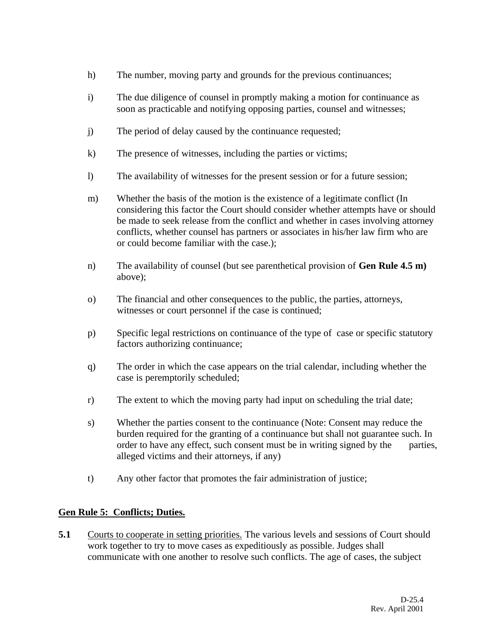- h) The number, moving party and grounds for the previous continuances;
- i) The due diligence of counsel in promptly making a motion for continuance as soon as practicable and notifying opposing parties, counsel and witnesses;
- j) The period of delay caused by the continuance requested;
- k) The presence of witnesses, including the parties or victims;
- l) The availability of witnesses for the present session or for a future session;
- m) Whether the basis of the motion is the existence of a legitimate conflict (In considering this factor the Court should consider whether attempts have or should be made to seek release from the conflict and whether in cases involving attorney conflicts, whether counsel has partners or associates in his/her law firm who are or could become familiar with the case.);
- n) The availability of counsel (but see parenthetical provision of **Gen Rule 4.5 m)**  above);
- o) The financial and other consequences to the public, the parties, attorneys, witnesses or court personnel if the case is continued;
- p) Specific legal restrictions on continuance of the type of case or specific statutory factors authorizing continuance;
- q) The order in which the case appears on the trial calendar, including whether the case is peremptorily scheduled;
- r) The extent to which the moving party had input on scheduling the trial date;
- s) Whether the parties consent to the continuance (Note: Consent may reduce the burden required for the granting of a continuance but shall not guarantee such. In order to have any effect, such consent must be in writing signed by the parties, alleged victims and their attorneys, if any)
- t) Any other factor that promotes the fair administration of justice;

### **Gen Rule 5: Conflicts; Duties.**

**5.1** Courts to cooperate in setting priorities. The various levels and sessions of Court should work together to try to move cases as expeditiously as possible. Judges shall communicate with one another to resolve such conflicts. The age of cases, the subject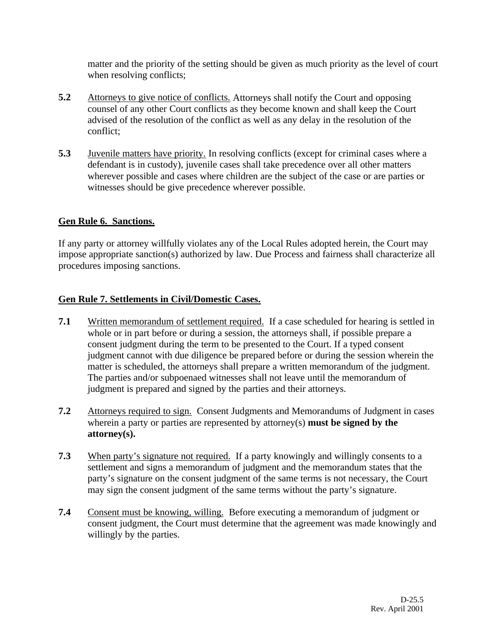matter and the priority of the setting should be given as much priority as the level of court when resolving conflicts;

- **5.2** Attorneys to give notice of conflicts. Attorneys shall notify the Court and opposing counsel of any other Court conflicts as they become known and shall keep the Court advised of the resolution of the conflict as well as any delay in the resolution of the conflict;
- **5.3** Juvenile matters have priority. In resolving conflicts (except for criminal cases where a defendant is in custody), juvenile cases shall take precedence over all other matters wherever possible and cases where children are the subject of the case or are parties or witnesses should be give precedence wherever possible.

#### **Gen Rule 6. Sanctions.**

If any party or attorney willfully violates any of the Local Rules adopted herein, the Court may impose appropriate sanction(s) authorized by law. Due Process and fairness shall characterize all procedures imposing sanctions.

#### **Gen Rule 7. Settlements in Civil/Domestic Cases.**

- **7.1** Written memorandum of settlement required. If a case scheduled for hearing is settled in whole or in part before or during a session, the attorneys shall, if possible prepare a consent judgment during the term to be presented to the Court. If a typed consent judgment cannot with due diligence be prepared before or during the session wherein the matter is scheduled, the attorneys shall prepare a written memorandum of the judgment. The parties and/or subpoenaed witnesses shall not leave until the memorandum of judgment is prepared and signed by the parties and their attorneys.
- **7.2** Attorneys required to sign. Consent Judgments and Memorandums of Judgment in cases wherein a party or parties are represented by attorney(s) **must be signed by the attorney(s).**
- **7.3** When party's signature not required. If a party knowingly and willingly consents to a settlement and signs a memorandum of judgment and the memorandum states that the party's signature on the consent judgment of the same terms is not necessary, the Court may sign the consent judgment of the same terms without the party's signature.
- **7.4** Consent must be knowing, willing. Before executing a memorandum of judgment or consent judgment, the Court must determine that the agreement was made knowingly and willingly by the parties.